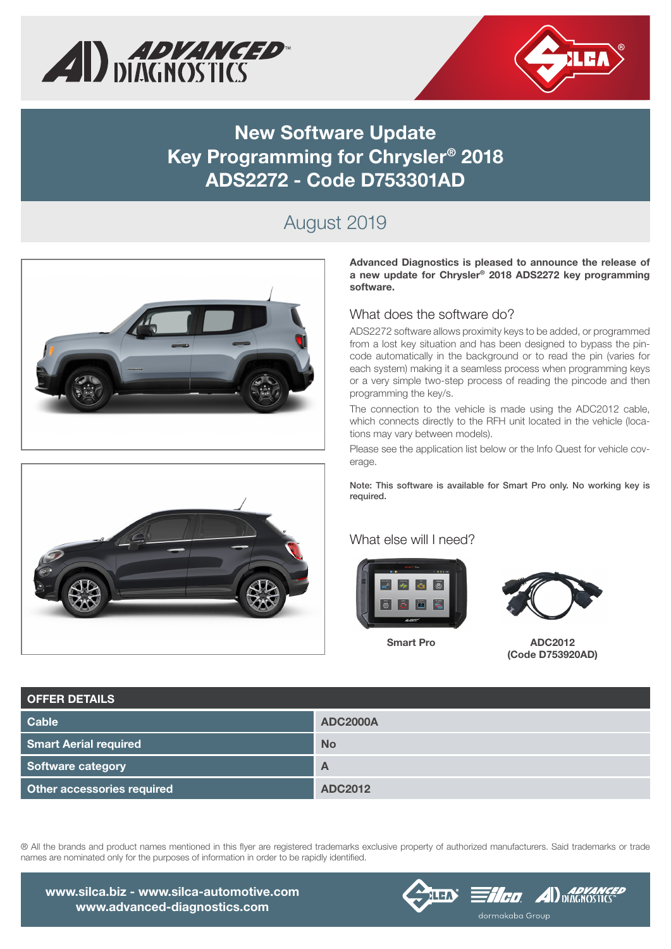



### **New Software Update Key Programming for Chrysler® 2018 ADS2272 - Code D753301AD**

# August 2019





**Advanced Diagnostics is pleased to announce the release of a new update for Chrysler® 2018 ADS2272 key programming software.**

### What does the software do?

ADS2272 software allows proximity keys to be added, or programmed from a lost key situation and has been designed to bypass the pincode automatically in the background or to read the pin (varies for each system) making it a seamless process when programming keys or a very simple two-step process of reading the pincode and then programming the key/s.

The connection to the vehicle is made using the ADC2012 cable, which connects directly to the RFH unit located in the vehicle (locations may vary between models).

Please see the application list below or the Info Quest for vehicle coverage.

Note: This software is available for Smart Pro only. No working key is required.

#### What else will I need?



**Smart Pro**



**ADC2012 (Code D753920AD)**

| <b>OFFER DETAILS</b>              |                 |
|-----------------------------------|-----------------|
| Cable                             | <b>ADC2000A</b> |
| <b>Smart Aerial required</b>      | <b>No</b>       |
| Software category                 | A               |
| <b>Other accessories required</b> | <b>ADC2012</b>  |

® All the brands and product names mentioned in this flyer are registered trademarks exclusive property of authorized manufacturers. Said trademarks or trade names are nominated only for the purposes of information in order to be rapidly identified.